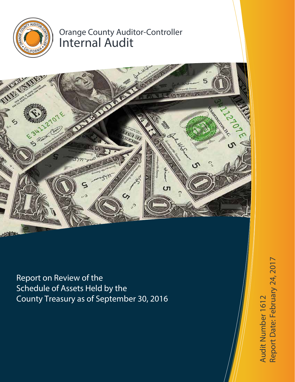

# Orange County Auditor-Controller Internal Audit



Report on Review of the Schedule of Assets Held by the County Treasury as of September 30, 2016

te: February 24, 2017Audit Number 1612 Audit Number 1612 Report D a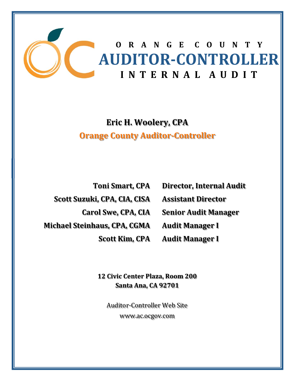

# **Eric H. Woolery, CPA Orange County Auditor‐Controller**

**Toni Smart, CPA Scott Suzuki, CPA, CIA, CISA Carol Swe, CPA, CIA Michael Steinhaus, CPA, CGMA Scott Kim, CPA**

**Director, Internal Audit Assistant Director Senior Audit Manager Audit Manager I**

**Audit Manager I**

**12 Civic Center Plaza, Room 200 Santa Ana, CA 92701**

Auditor-Controller Web Site www.ac.ocgov.com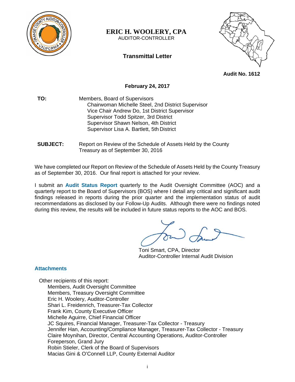

# **ERIC H. WOOLERY, CPA**

AUDITOR-CONTROLLER

# **Transmittal Letter**



**Audit No. 1612** 

# **February 24, 2017**

**TO:** Members, Board of Supervisors Chairwoman Michelle Steel, 2nd District Supervisor Vice Chair Andrew Do, 1st District Supervisor Supervisor Todd Spitzer, 3rd District Supervisor Shawn Nelson, 4th District Supervisor Lisa A. Bartlett, 5th District

### **SUBJECT:** Report on Review of the Schedule of Assets Held by the County Treasury as of September 30, 2016

We have completed our Report on Review of the Schedule of Assets Held by the County Treasury as of September 30, 2016. Our final report is attached for your review.

I submit an **Audit Status Report** quarterly to the Audit Oversight Committee (AOC) and a quarterly report to the Board of Supervisors (BOS) where I detail any critical and significant audit findings released in reports during the prior quarter and the implementation status of audit recommendations as disclosed by our Follow-Up Audits. Although there were no findings noted during this review, the results will be included in future status reports to the AOC and BOS.

Toni Smart, CPA, Director Auditor-Controller Internal Audit Division

# **Attachments**

Other recipients of this report: Members, Audit Oversight Committee Members, Treasury Oversight Committee Eric H. Woolery, Auditor-Controller Shari L. Freidenrich, Treasurer-Tax Collector Frank Kim, County Executive Officer Michelle Aguirre, Chief Financial Officer JC Squires, Financial Manager, Treasurer-Tax Collector - Treasury Jennifer Han, Accounting/Compliance Manager, Treasurer-Tax Collector - Treasury Claire Moynihan, Director, Central Accounting Operations, Auditor-Controller Foreperson, Grand Jury Robin Stieler, Clerk of the Board of Supervisors Macias Gini & O'Connell LLP, County External Auditor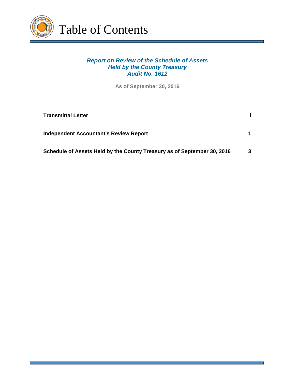

# *Report on Review of the Schedule of Assets Held by the County Treasury Audit No. 1612*

**As of September 30, 2016**

| <b>Transmittal Letter</b>                                               |   |
|-------------------------------------------------------------------------|---|
| <b>Independent Accountant's Review Report</b>                           |   |
| Schedule of Assets Held by the County Treasury as of September 30, 2016 | 3 |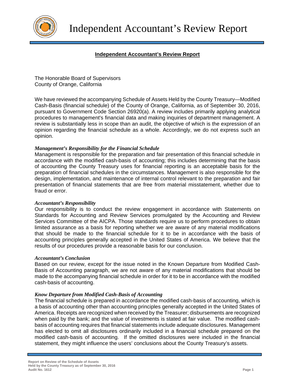

# **Independent Accountant's Review Report**

The Honorable Board of Supervisors County of Orange, California

We have reviewed the accompanying Schedule of Assets Held by the County Treasury—Modified Cash-Basis (financial schedule) of the County of Orange, California, as of September 30, 2016, pursuant to Government Code Section 26920(a). A review includes primarily applying analytical procedures to management's financial data and making inquiries of department management. A review is substantially less in scope than an audit, the objective of which is the expression of an opinion regarding the financial schedule as a whole. Accordingly, we do not express such an opinion.

### *Management's Responsibility for the Financial Schedule*

Management is responsible for the preparation and fair presentation of this financial schedule in accordance with the modified cash-basis of accounting; this includes determining that the basis of accounting the County Treasury uses for financial reporting is an acceptable basis for the preparation of financial schedules in the circumstances. Management is also responsible for the design, implementation, and maintenance of internal control relevant to the preparation and fair presentation of financial statements that are free from material misstatement, whether due to fraud or error.

#### *Accountant's Responsibility*

Our responsibility is to conduct the review engagement in accordance with Statements on Standards for Accounting and Review Services promulgated by the Accounting and Review Services Committee of the AICPA. Those standards require us to perform procedures to obtain limited assurance as a basis for reporting whether we are aware of any material modifications that should be made to the financial schedule for it to be in accordance with the basis of accounting principles generally accepted in the United States of America. We believe that the results of our procedures provide a reasonable basis for our conclusion.

#### *Accountant's Conclusion*

Based on our review, except for the issue noted in the Known Departure from Modified Cash-Basis of Accounting paragraph, we are not aware of any material modifications that should be made to the accompanying financial schedule in order for it to be in accordance with the modified cash-basis of accounting.

#### *Know Departure from Modified Cash-Basis of Accounting*

The financial schedule is prepared in accordance the modified cash-basis of accounting, which is a basis of accounting other than accounting principles generally accepted in the United States of America. Receipts are recognized when received by the Treasurer; disbursements are recognized when paid by the bank; and the value of investments is stated at fair value. The modified cashbasis of accounting requires that financial statements include adequate disclosures. Management has elected to omit all disclosures ordinarily included in a financial schedule prepared on the modified cash-basis of accounting. If the omitted disclosures were included in the financial statement, they might influence the users' conclusions about the County Treasury's assets.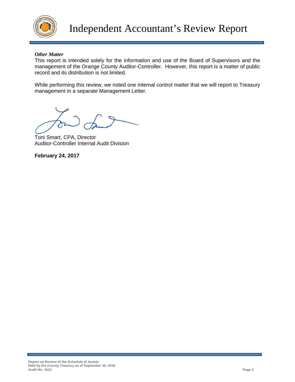

## *Other Matter*

This report is intended solely for the information and use of the Board of Supervisors and the management of the Orange County Auditor-Controller. However, this report is a matter of public record and its distribution is not limited.

While performing this review, we noted one internal control matter that we will report to Treasury management in a separate Management Letter.

Toni Smart, CPA, Director Auditor-Controller Internal Audit Division

**February 24, 2017**